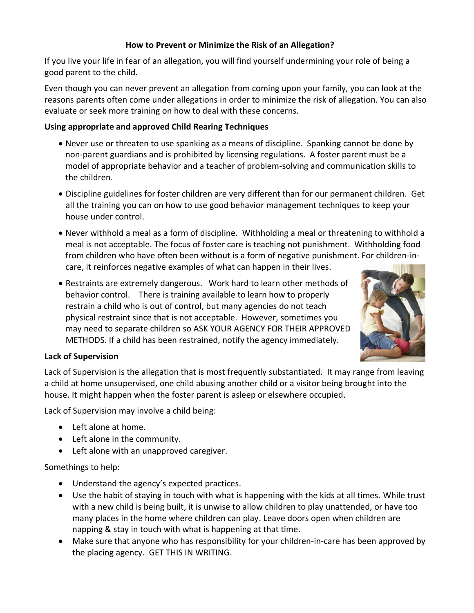### **How to Prevent or Minimize the Risk of an Allegation?**

If you live your life in fear of an allegation, you will find yourself undermining your role of being a good parent to the child.

Even though you can never prevent an allegation from coming upon your family, you can look at the reasons parents often come under allegations in order to minimize the risk of allegation. You can also evaluate or seek more training on how to deal with these concerns.

# **Using appropriate and approved Child Rearing Techniques**

- Never use or threaten to use spanking as a means of discipline. Spanking cannot be done by non-parent guardians and is prohibited by licensing regulations. A foster parent must be a model of appropriate behavior and a teacher of problem-solving and communication skills to the children.
- Discipline guidelines for foster children are very different than for our permanent children. Get all the training you can on how to use good behavior management techniques to keep your house under control.
- Never withhold a meal as a form of discipline. Withholding a meal or threatening to withhold a meal is not acceptable. The focus of foster care is teaching not punishment. Withholding food from children who have often been without is a form of negative punishment. For children-incare, it reinforces negative examples of what can happen in their lives.
- Restraints are extremely dangerous. Work hard to learn other methods of behavior control. There is training available to learn how to properly restrain a child who is out of control, but many agencies do not teach physical restraint since that is not acceptable. However, sometimes you may need to separate children so ASK YOUR AGENCY FOR THEIR APPROVED METHODS. If a child has been restrained, notify the agency immediately.



### **Lack of Supervision**

Lack of Supervision is the allegation that is most frequently substantiated. It may range from leaving a child at home unsupervised, one child abusing another child or a visitor being brought into the house. It might happen when the foster parent is asleep or elsewhere occupied.

Lack of Supervision may involve a child being:

- Left alone at home.
- Left alone in the community.
- Left alone with an unapproved caregiver.

### Somethings to help:

- Understand the agency's expected practices.
- Use the habit of staying in touch with what is happening with the kids at all times. While trust with a new child is being built, it is unwise to allow children to play unattended, or have too many places in the home where children can play. Leave doors open when children are napping & stay in touch with what is happening at that time.
- Make sure that anyone who has responsibility for your children-in-care has been approved by the placing agency. GET THIS IN WRITING.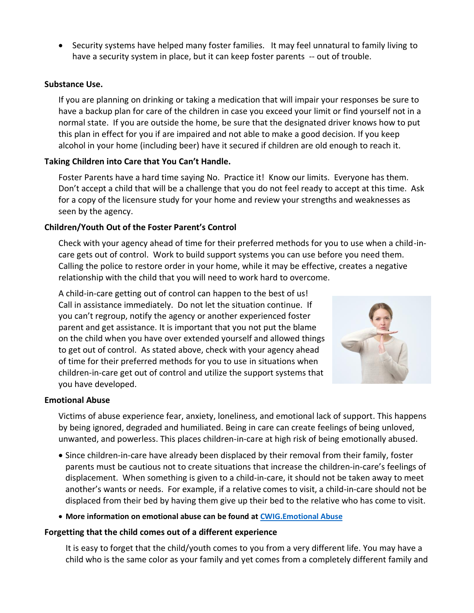• Security systems have helped many foster families. It may feel unnatural to family living to have a security system in place, but it can keep foster parents -- out of trouble.

#### **Substance Use.**

If you are planning on drinking or taking a medication that will impair your responses be sure to have a backup plan for care of the children in case you exceed your limit or find yourself not in a normal state. If you are outside the home, be sure that the designated driver knows how to put this plan in effect for you if are impaired and not able to make a good decision. If you keep alcohol in your home (including beer) have it secured if children are old enough to reach it.

### **Taking Children into Care that You Can't Handle.**

Foster Parents have a hard time saying No. Practice it! Know our limits. Everyone has them. Don't accept a child that will be a challenge that you do not feel ready to accept at this time. Ask for a copy of the licensure study for your home and review your strengths and weaknesses as seen by the agency.

### **Children/Youth Out of the Foster Parent's Control**

Check with your agency ahead of time for their preferred methods for you to use when a child-incare gets out of control. Work to build support systems you can use before you need them. Calling the police to restore order in your home, while it may be effective, creates a negative relationship with the child that you will need to work hard to overcome.

A child-in-care getting out of control can happen to the best of us! Call in assistance immediately. Do not let the situation continue. If you can't regroup, notify the agency or another experienced foster parent and get assistance. It is important that you not put the blame on the child when you have over extended yourself and allowed things to get out of control. As stated above, check with your agency ahead of time for their preferred methods for you to use in situations when children-in-care get out of control and utilize the support systems that you have developed.



#### **Emotional Abuse**

Victims of abuse experience fear, anxiety, loneliness, and emotional lack of support. This happens by being ignored, degraded and humiliated. Being in care can create feelings of being unloved, unwanted, and powerless. This places children-in-care at high risk of being emotionally abused.

- Since children-in-care have already been displaced by their removal from their family, foster parents must be cautious not to create situations that increase the children-in-care's feelings of displacement. When something is given to a child-in-care, it should not be taken away to meet another's wants or needs. For example, if a relative comes to visit, a child-in-care should not be displaced from their bed by having them give up their bed to the relative who has come to visit.
- **More information on emotional abuse can be found at [CWIG.Emotional Abuse](https://www.childwelfare.gov/topics/can/identifying/emotional-abuse/)**

#### **Forgetting that the child comes out of a different experience**

It is easy to forget that the child/youth comes to you from a very different life. You may have a child who is the same color as your family and yet comes from a completely different family and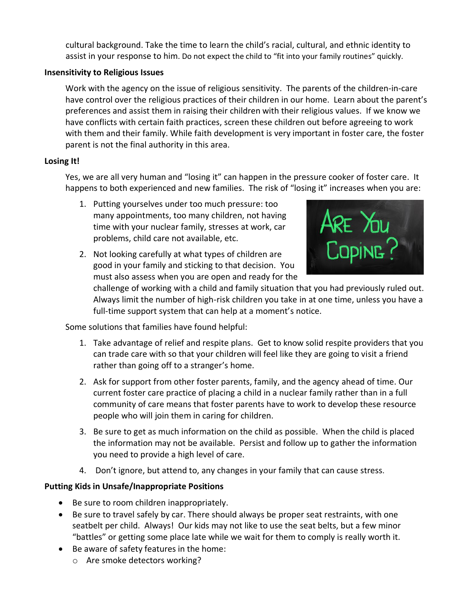cultural background. Take the time to learn the child's racial, cultural, and ethnic identity to assist in your response to him. Do not expect the child to "fit into your family routines" quickly.

### **Insensitivity to Religious Issues**

Work with the agency on the issue of religious sensitivity. The parents of the children-in-care have control over the religious practices of their children in our home. Learn about the parent's preferences and assist them in raising their children with their religious values. If we know we have conflicts with certain faith practices, screen these children out before agreeing to work with them and their family. While faith development is very important in foster care, the foster parent is not the final authority in this area.

# **Losing It!**

Yes, we are all very human and "losing it" can happen in the pressure cooker of foster care. It happens to both experienced and new families. The risk of "losing it" increases when you are:

- 1. Putting yourselves under too much pressure: too many appointments, too many children, not having time with your nuclear family, stresses at work, car problems, child care not available, etc.
- 2. Not looking carefully at what types of children are good in your family and sticking to that decision. You must also assess when you are open and ready for the



challenge of working with a child and family situation that you had previously ruled out. Always limit the number of high-risk children you take in at one time, unless you have a full-time support system that can help at a moment's notice.

Some solutions that families have found helpful:

- 1. Take advantage of relief and respite plans. Get to know solid respite providers that you can trade care with so that your children will feel like they are going to visit a friend rather than going off to a stranger's home.
- 2. Ask for support from other foster parents, family, and the agency ahead of time. Our current foster care practice of placing a child in a nuclear family rather than in a full community of care means that foster parents have to work to develop these resource people who will join them in caring for children.
- 3. Be sure to get as much information on the child as possible. When the child is placed the information may not be available. Persist and follow up to gather the information you need to provide a high level of care.
- 4. Don't ignore, but attend to, any changes in your family that can cause stress.

# **Putting Kids in Unsafe/Inappropriate Positions**

- Be sure to room children inappropriately.
- Be sure to travel safely by car. There should always be proper seat restraints, with one seatbelt per child. Always! Our kids may not like to use the seat belts, but a few minor "battles" or getting some place late while we wait for them to comply is really worth it.
- Be aware of safety features in the home:
	- o Are smoke detectors working?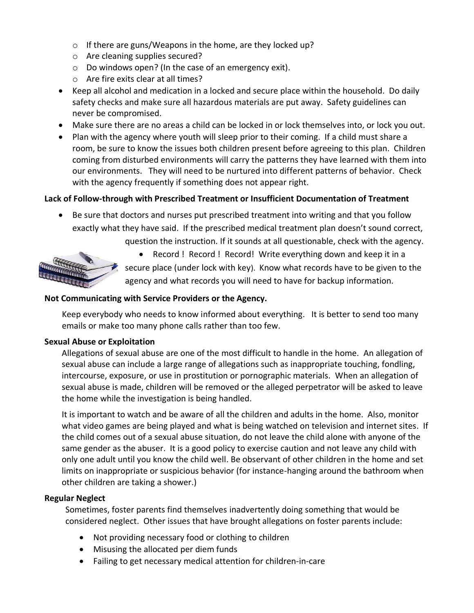- o If there are guns/Weapons in the home, are they locked up?
- o Are cleaning supplies secured?
- o Do windows open? (In the case of an emergency exit).
- o Are fire exits clear at all times?
- Keep all alcohol and medication in a locked and secure place within the household. Do daily safety checks and make sure all hazardous materials are put away. Safety guidelines can never be compromised.
- Make sure there are no areas a child can be locked in or lock themselves into, or lock you out.
- Plan with the agency where youth will sleep prior to their coming. If a child must share a room, be sure to know the issues both children present before agreeing to this plan. Children coming from disturbed environments will carry the patterns they have learned with them into our environments. They will need to be nurtured into different patterns of behavior. Check with the agency frequently if something does not appear right.

# **Lack of Follow-through with Prescribed Treatment or Insufficient Documentation of Treatment**

• Be sure that doctors and nurses put prescribed treatment into writing and that you follow exactly what they have said. If the prescribed medical treatment plan doesn't sound correct, question the instruction. If it sounds at all questionable, check with the agency.



• Record ! Record ! Record! Write everything down and keep it in a secure place (under lock with key). Know what records have to be given to the agency and what records you will need to have for backup information.

### **Not Communicating with Service Providers or the Agency.**

Keep everybody who needs to know informed about everything. It is better to send too many emails or make too many phone calls rather than too few.

#### **Sexual Abuse or Exploitation**

Allegations of sexual abuse are one of the most difficult to handle in the home. An allegation of sexual abuse can include a large range of allegations such as inappropriate touching, fondling, intercourse, exposure, or use in prostitution or pornographic materials. When an allegation of sexual abuse is made, children will be removed or the alleged perpetrator will be asked to leave the home while the investigation is being handled.

It is important to watch and be aware of all the children and adults in the home. Also, monitor what video games are being played and what is being watched on television and internet sites. If the child comes out of a sexual abuse situation, do not leave the child alone with anyone of the same gender as the abuser. It is a good policy to exercise caution and not leave any child with only one adult until you know the child well. Be observant of other children in the home and set limits on inappropriate or suspicious behavior (for instance-hanging around the bathroom when other children are taking a shower.)

#### **Regular Neglect**

Sometimes, foster parents find themselves inadvertently doing something that would be considered neglect. Other issues that have brought allegations on foster parents include:

- Not providing necessary food or clothing to children
- Misusing the allocated per diem funds
- Failing to get necessary medical attention for children-in-care